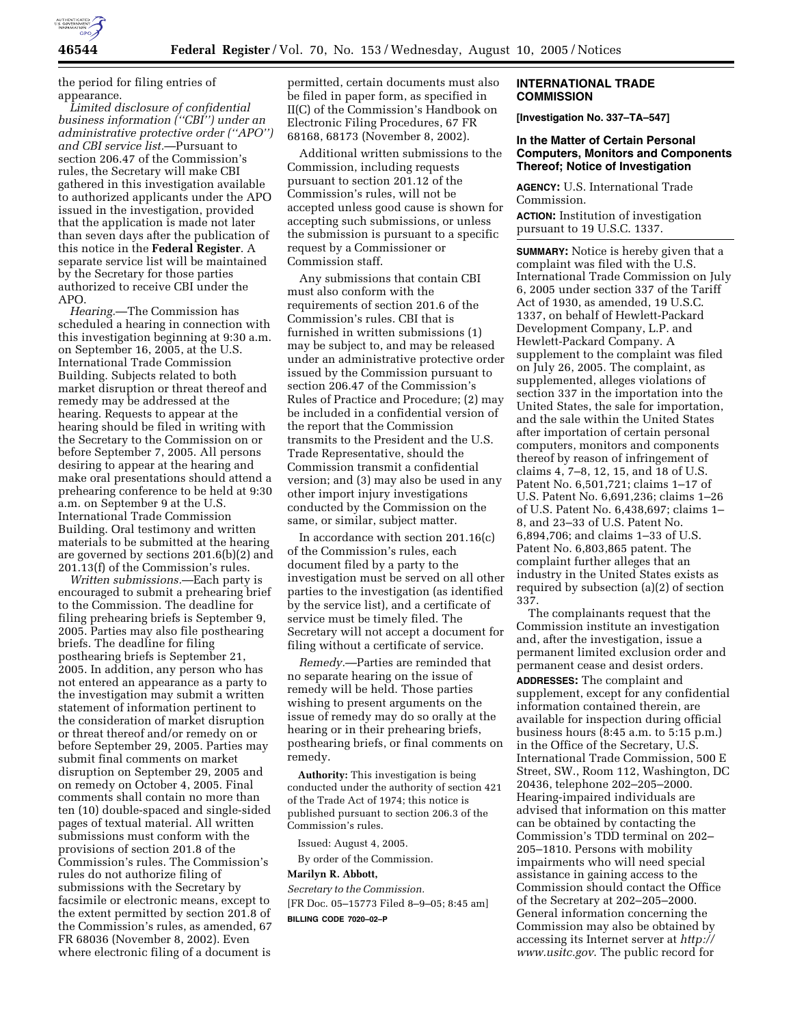

the period for filing entries of appearance.

*Limited disclosure of confidential business information (''CBI'') under an administrative protective order (''APO'') and CBI service list.*—Pursuant to section 206.47 of the Commission's rules, the Secretary will make CBI gathered in this investigation available to authorized applicants under the APO issued in the investigation, provided that the application is made not later than seven days after the publication of this notice in the **Federal Register**. A separate service list will be maintained by the Secretary for those parties authorized to receive CBI under the APO.

*Hearing.*—The Commission has scheduled a hearing in connection with this investigation beginning at 9:30 a.m. on September 16, 2005, at the U.S. International Trade Commission Building. Subjects related to both market disruption or threat thereof and remedy may be addressed at the hearing. Requests to appear at the hearing should be filed in writing with the Secretary to the Commission on or before September 7, 2005. All persons desiring to appear at the hearing and make oral presentations should attend a prehearing conference to be held at 9:30 a.m. on September 9 at the U.S. International Trade Commission Building. Oral testimony and written materials to be submitted at the hearing are governed by sections 201.6(b)(2) and 201.13(f) of the Commission's rules.

*Written submissions.*—Each party is encouraged to submit a prehearing brief to the Commission. The deadline for filing prehearing briefs is September 9, 2005. Parties may also file posthearing briefs. The deadline for filing posthearing briefs is September 21, 2005. In addition, any person who has not entered an appearance as a party to the investigation may submit a written statement of information pertinent to the consideration of market disruption or threat thereof and/or remedy on or before September 29, 2005. Parties may submit final comments on market disruption on September 29, 2005 and on remedy on October 4, 2005. Final comments shall contain no more than ten (10) double-spaced and single-sided pages of textual material. All written submissions must conform with the provisions of section 201.8 of the Commission's rules. The Commission's rules do not authorize filing of submissions with the Secretary by facsimile or electronic means, except to the extent permitted by section 201.8 of the Commission's rules, as amended, 67 FR 68036 (November 8, 2002). Even where electronic filing of a document is

permitted, certain documents must also be filed in paper form, as specified in II(C) of the Commission's Handbook on Electronic Filing Procedures, 67 FR 68168, 68173 (November 8, 2002).

Additional written submissions to the Commission, including requests pursuant to section 201.12 of the Commission's rules, will not be accepted unless good cause is shown for accepting such submissions, or unless the submission is pursuant to a specific request by a Commissioner or Commission staff.

Any submissions that contain CBI must also conform with the requirements of section 201.6 of the Commission's rules. CBI that is furnished in written submissions (1) may be subject to, and may be released under an administrative protective order issued by the Commission pursuant to section 206.47 of the Commission's Rules of Practice and Procedure; (2) may be included in a confidential version of the report that the Commission transmits to the President and the U.S. Trade Representative, should the Commission transmit a confidential version; and (3) may also be used in any other import injury investigations conducted by the Commission on the same, or similar, subject matter.

In accordance with section 201.16(c) of the Commission's rules, each document filed by a party to the investigation must be served on all other parties to the investigation (as identified by the service list), and a certificate of service must be timely filed. The Secretary will not accept a document for filing without a certificate of service.

*Remedy.*—Parties are reminded that no separate hearing on the issue of remedy will be held. Those parties wishing to present arguments on the issue of remedy may do so orally at the hearing or in their prehearing briefs, posthearing briefs, or final comments on remedy.

**Authority:** This investigation is being conducted under the authority of section 421 of the Trade Act of 1974; this notice is published pursuant to section 206.3 of the Commission's rules.

Issued: August 4, 2005.

By order of the Commission.

#### **Marilyn R. Abbott,**

*Secretary to the Commission.*

[FR Doc. 05–15773 Filed 8–9–05; 8:45 am] **BILLING CODE 7020–02–P**

### **INTERNATIONAL TRADE COMMISSION**

**[Investigation No. 337–TA–547]** 

# **In the Matter of Certain Personal Computers, Monitors and Components Thereof; Notice of Investigation**

**AGENCY:** U.S. International Trade Commission. **ACTION:** Institution of investigation pursuant to 19 U.S.C. 1337.

**SUMMARY:** Notice is hereby given that a complaint was filed with the U.S. International Trade Commission on July 6, 2005 under section 337 of the Tariff Act of 1930, as amended, 19 U.S.C. 1337, on behalf of Hewlett-Packard Development Company, L.P. and Hewlett-Packard Company. A supplement to the complaint was filed on July 26, 2005. The complaint, as supplemented, alleges violations of section 337 in the importation into the United States, the sale for importation, and the sale within the United States after importation of certain personal computers, monitors and components thereof by reason of infringement of claims 4, 7–8, 12, 15, and 18 of U.S. Patent No. 6,501,721; claims 1–17 of U.S. Patent No. 6,691,236; claims 1–26 of U.S. Patent No. 6,438,697; claims 1– 8, and 23–33 of U.S. Patent No. 6,894,706; and claims 1–33 of U.S. Patent No. 6,803,865 patent. The complaint further alleges that an industry in the United States exists as required by subsection (a)(2) of section 337.

The complainants request that the Commission institute an investigation and, after the investigation, issue a permanent limited exclusion order and permanent cease and desist orders.

**ADDRESSES:** The complaint and supplement, except for any confidential information contained therein, are available for inspection during official business hours (8:45 a.m. to 5:15 p.m.) in the Office of the Secretary, U.S. International Trade Commission, 500 E Street, SW., Room 112, Washington, DC 20436, telephone 202–205–2000. Hearing-impaired individuals are advised that information on this matter can be obtained by contacting the Commission's TDD terminal on 202– 205–1810. Persons with mobility impairments who will need special assistance in gaining access to the Commission should contact the Office of the Secretary at 202–205–2000. General information concerning the Commission may also be obtained by accessing its Internet server at *http:// www.usitc.gov*. The public record for